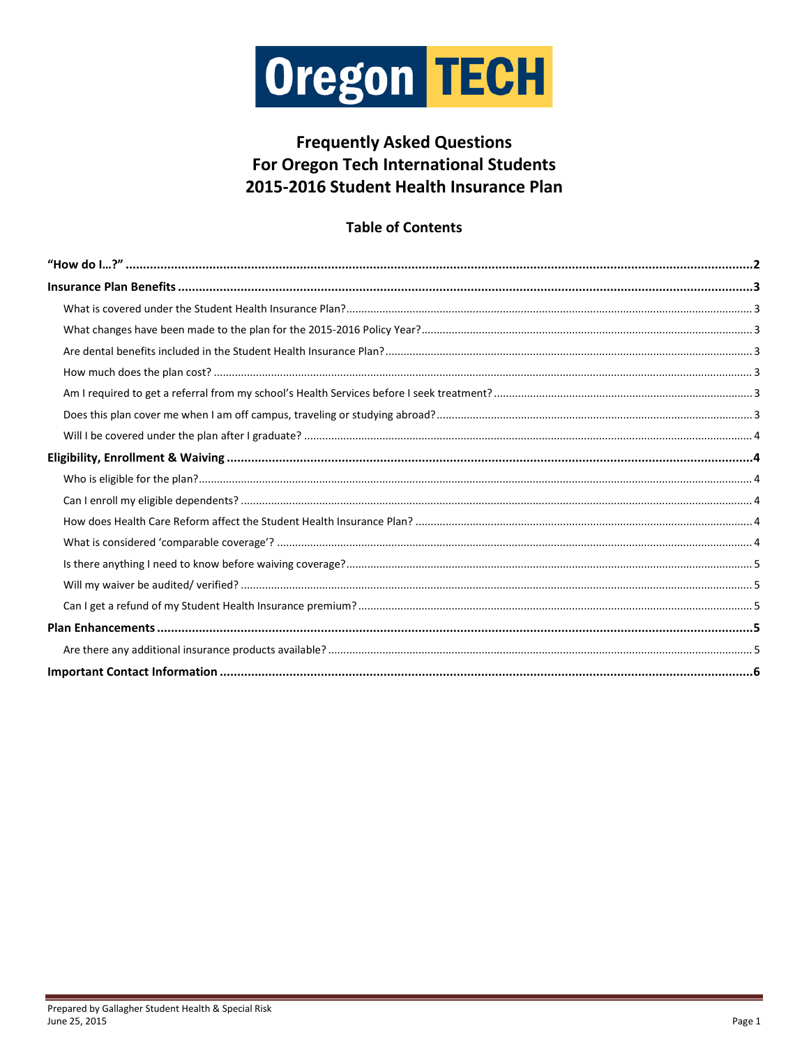

## **Frequently Asked Questions** For Oregon Tech International Students 2015-2016 Student Health Insurance Plan

### **Table of Contents**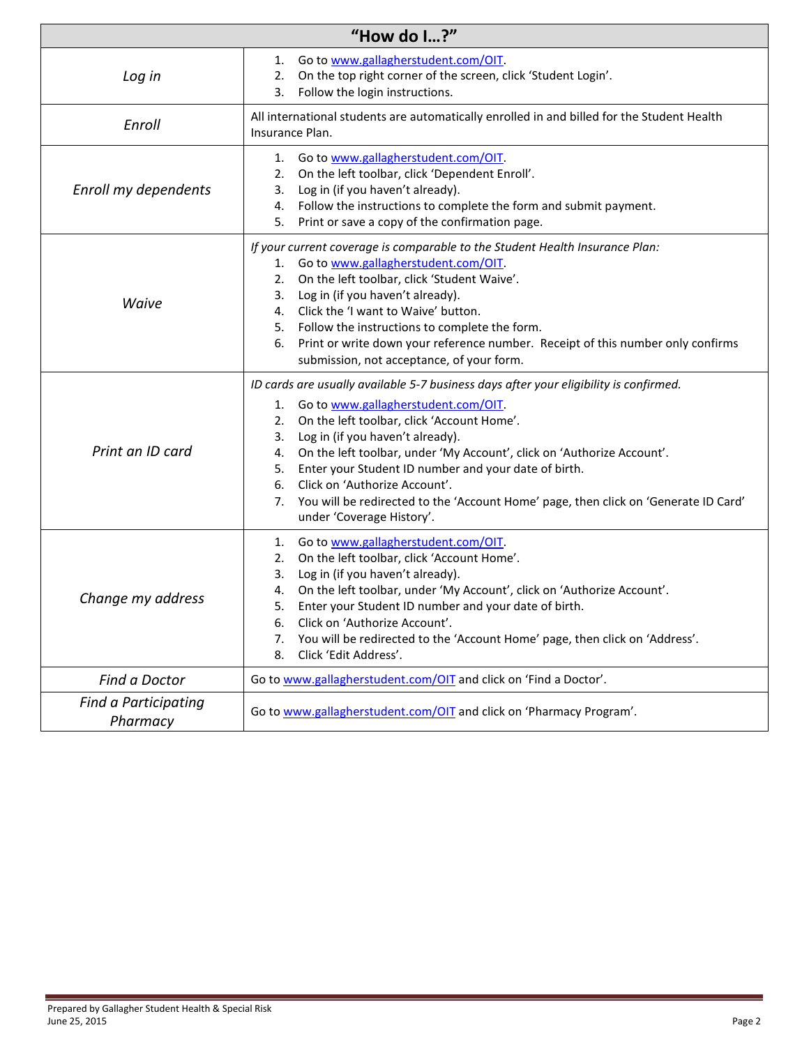<span id="page-1-0"></span>

| "How do $1?$ "                   |                                                                                                                                                                                                                                                                                                                                                                                                                                                                                                                                                 |  |  |  |  |
|----------------------------------|-------------------------------------------------------------------------------------------------------------------------------------------------------------------------------------------------------------------------------------------------------------------------------------------------------------------------------------------------------------------------------------------------------------------------------------------------------------------------------------------------------------------------------------------------|--|--|--|--|
| Log in                           | Go to www.gallagherstudent.com/OIT.<br>1.<br>On the top right corner of the screen, click 'Student Login'.<br>2.<br>Follow the login instructions.<br>3.                                                                                                                                                                                                                                                                                                                                                                                        |  |  |  |  |
| Enroll                           | All international students are automatically enrolled in and billed for the Student Health<br>Insurance Plan.                                                                                                                                                                                                                                                                                                                                                                                                                                   |  |  |  |  |
| Enroll my dependents             | Go to www.gallagherstudent.com/OIT.<br>1.<br>On the left toolbar, click 'Dependent Enroll'.<br>2.<br>Log in (if you haven't already).<br>3.<br>Follow the instructions to complete the form and submit payment.<br>4.<br>Print or save a copy of the confirmation page.<br>5.                                                                                                                                                                                                                                                                   |  |  |  |  |
| Waive                            | If your current coverage is comparable to the Student Health Insurance Plan:<br>1. Go to www.gallagherstudent.com/OIT.<br>2. On the left toolbar, click 'Student Waive'.<br>3. Log in (if you haven't already).<br>4. Click the 'I want to Waive' button.<br>Follow the instructions to complete the form.<br>5.<br>Print or write down your reference number. Receipt of this number only confirms<br>6.<br>submission, not acceptance, of your form.                                                                                          |  |  |  |  |
| Print an ID card                 | ID cards are usually available 5-7 business days after your eligibility is confirmed.<br>Go to www.gallagherstudent.com/OIT.<br>1.<br>On the left toolbar, click 'Account Home'.<br>2.<br>Log in (if you haven't already).<br>3.<br>On the left toolbar, under 'My Account', click on 'Authorize Account'.<br>4.<br>Enter your Student ID number and your date of birth.<br>5.<br>Click on 'Authorize Account'.<br>6.<br>You will be redirected to the 'Account Home' page, then click on 'Generate ID Card'<br>7.<br>under 'Coverage History'. |  |  |  |  |
| Change my address                | Go to www.gallagherstudent.com/OIT.<br>1.<br>On the left toolbar, click 'Account Home'.<br>2.<br>Log in (if you haven't already).<br>3.<br>On the left toolbar, under 'My Account', click on 'Authorize Account'.<br>4.<br>5.<br>Enter your Student ID number and your date of birth.<br>Click on 'Authorize Account'.<br>6.<br>You will be redirected to the 'Account Home' page, then click on 'Address'.<br>7.<br>Click 'Edit Address'.<br>8.                                                                                                |  |  |  |  |
| Find a Doctor                    | Go to www.gallagherstudent.com/OIT and click on 'Find a Doctor'.                                                                                                                                                                                                                                                                                                                                                                                                                                                                                |  |  |  |  |
| Find a Participating<br>Pharmacy | Go to www.gallagherstudent.com/OIT and click on 'Pharmacy Program'.                                                                                                                                                                                                                                                                                                                                                                                                                                                                             |  |  |  |  |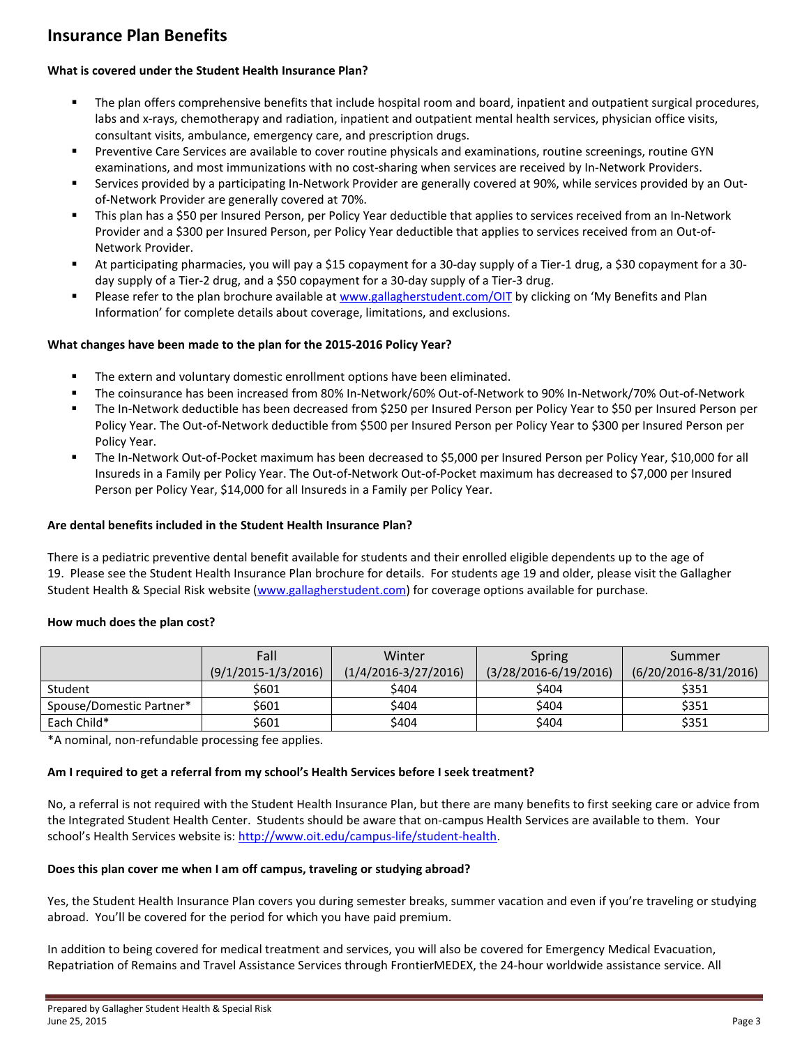### <span id="page-2-0"></span>**Insurance Plan Benefits**

#### <span id="page-2-1"></span>**What is covered under the Student Health Insurance Plan?**

- The plan offers comprehensive benefits that include hospital room and board, inpatient and outpatient surgical procedures, labs and x-rays, chemotherapy and radiation, inpatient and outpatient mental health services, physician office visits, consultant visits, ambulance, emergency care, and prescription drugs.
- Preventive Care Services are available to cover routine physicals and examinations, routine screenings, routine GYN examinations, and most immunizations with no cost-sharing when services are received by In-Network Providers.
- Services provided by a participating In-Network Provider are generally covered at 90%, while services provided by an Outof-Network Provider are generally covered at 70%.
- This plan has a \$50 per Insured Person, per Policy Year deductible that applies to services received from an In-Network Provider and a \$300 per Insured Person, per Policy Year deductible that applies to services received from an Out-of-Network Provider.
- At participating pharmacies, you will pay a \$15 copayment for a 30-day supply of a Tier-1 drug, a \$30 copayment for a 30 day supply of a Tier-2 drug, and a \$50 copayment for a 30-day supply of a Tier-3 drug.
- Please refer to the plan brochure available at [www.gallagherstudent.com/OIT](http://www.gallagherstudent.com/OIT) by clicking on 'My Benefits and Plan Information' for complete details about coverage, limitations, and exclusions.

#### <span id="page-2-2"></span>**What changes have been made to the plan for the 2015-2016 Policy Year?**

- The extern and voluntary domestic enrollment options have been eliminated.
- The coinsurance has been increased from 80% In-Network/60% Out-of-Network to 90% In-Network/70% Out-of-Network
- The In-Network deductible has been decreased from \$250 per Insured Person per Policy Year to \$50 per Insured Person per Policy Year. The Out-of-Network deductible from \$500 per Insured Person per Policy Year to \$300 per Insured Person per Policy Year.
- The In-Network Out-of-Pocket maximum has been decreased to \$5,000 per Insured Person per Policy Year, \$10,000 for all Insureds in a Family per Policy Year. The Out-of-Network Out-of-Pocket maximum has decreased to \$7,000 per Insured Person per Policy Year, \$14,000 for all Insureds in a Family per Policy Year.

#### <span id="page-2-3"></span>**Are dental benefits included in the Student Health Insurance Plan?**

There is a pediatric preventive dental benefit available for students and their enrolled eligible dependents up to the age of 19. Please see the Student Health Insurance Plan brochure for details. For students age 19 and older, please visit the Gallagher Student Health & Special Risk website [\(www.gallagherstudent.com\)](http://www.gallagherstudent.com/) for coverage options available for purchase.

#### <span id="page-2-4"></span>**How much does the plan cost?**

|                          | Fall                    | Winter                   | Spring                    | Summer                    |
|--------------------------|-------------------------|--------------------------|---------------------------|---------------------------|
|                          | $(9/1/2015 - 1/3/2016)$ | $(1/4/2016 - 3/27/2016)$ | $(3/28/2016 - 6/19/2016)$ | $(6/20/2016 - 8/31/2016)$ |
| Student                  | \$601                   | \$404                    | \$404                     | \$351                     |
| Spouse/Domestic Partner* | \$601                   | \$404                    | \$404                     | \$351                     |
| Each Child*              | \$601                   | \$404                    | \$404                     | \$351                     |

\*A nominal, non-refundable processing fee applies.

#### <span id="page-2-5"></span>**Am I required to get a referral from my school's Health Services before I seek treatment?**

No, a referral is not required with the Student Health Insurance Plan, but there are many benefits to first seeking care or advice from the Integrated Student Health Center. Students should be aware that on-campus Health Services are available to them. Your school's Health Services website is[: http://www.oit.edu/campus-life/student-health.](http://www.oit.edu/campus-life/student-health) 

#### <span id="page-2-6"></span>**Does this plan cover me when I am off campus, traveling or studying abroad?**

Yes, the Student Health Insurance Plan covers you during semester breaks, summer vacation and even if you're traveling or studying abroad. You'll be covered for the period for which you have paid premium.

In addition to being covered for medical treatment and services, you will also be covered for Emergency Medical Evacuation, Repatriation of Remains and Travel Assistance Services through FrontierMEDEX, the 24-hour worldwide assistance service. All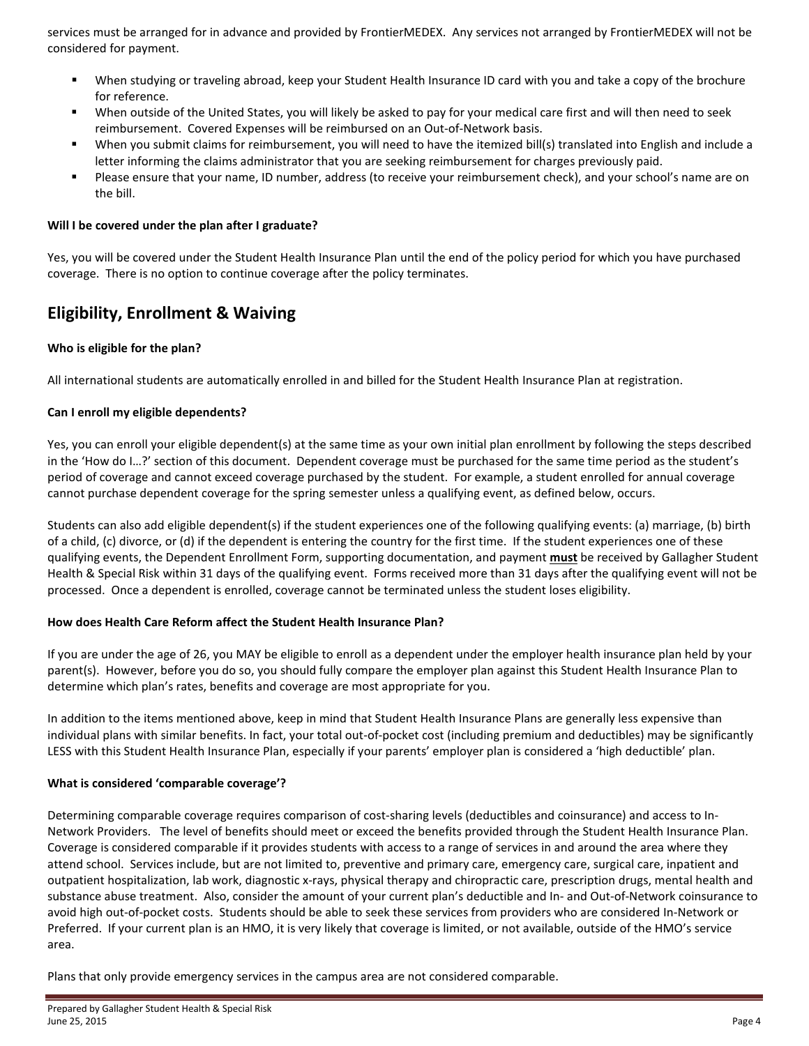services must be arranged for in advance and provided by FrontierMEDEX. Any services not arranged by FrontierMEDEX will not be considered for payment.

- When studying or traveling abroad, keep your Student Health Insurance ID card with you and take a copy of the brochure for reference.
- When outside of the United States, you will likely be asked to pay for your medical care first and will then need to seek reimbursement. Covered Expenses will be reimbursed on an Out-of-Network basis.
- When you submit claims for reimbursement, you will need to have the itemized bill(s) translated into English and include a letter informing the claims administrator that you are seeking reimbursement for charges previously paid.
- Please ensure that your name, ID number, address (to receive your reimbursement check), and your school's name are on the bill.

#### <span id="page-3-0"></span>**Will I be covered under the plan after I graduate?**

Yes, you will be covered under the Student Health Insurance Plan until the end of the policy period for which you have purchased coverage. There is no option to continue coverage after the policy terminates.

### <span id="page-3-1"></span>**Eligibility, Enrollment & Waiving**

#### <span id="page-3-2"></span>**Who is eligible for the plan?**

All international students are automatically enrolled in and billed for the Student Health Insurance Plan at registration.

#### <span id="page-3-3"></span>**Can I enroll my eligible dependents?**

Yes, you can enroll your eligible dependent(s) at the same time as your own initial plan enrollment by following the steps described in the 'How do I…?' section of this document. Dependent coverage must be purchased for the same time period as the student's period of coverage and cannot exceed coverage purchased by the student. For example, a student enrolled for annual coverage cannot purchase dependent coverage for the spring semester unless a qualifying event, as defined below, occurs.

Students can also add eligible dependent(s) if the student experiences one of the following qualifying events: (a) marriage, (b) birth of a child, (c) divorce, or (d) if the dependent is entering the country for the first time. If the student experiences one of these qualifying events, the Dependent Enrollment Form, supporting documentation, and payment **must** be received by Gallagher Student Health & Special Risk within 31 days of the qualifying event. Forms received more than 31 days after the qualifying event will not be processed. Once a dependent is enrolled, coverage cannot be terminated unless the student loses eligibility.

#### <span id="page-3-4"></span>**How does Health Care Reform affect the Student Health Insurance Plan?**

If you are under the age of 26, you MAY be eligible to enroll as a dependent under the employer health insurance plan held by your parent(s). However, before you do so, you should fully compare the employer plan against this Student Health Insurance Plan to determine which plan's rates, benefits and coverage are most appropriate for you.

In addition to the items mentioned above, keep in mind that Student Health Insurance Plans are generally less expensive than individual plans with similar benefits. In fact, your total out-of-pocket cost (including premium and deductibles) may be significantly LESS with this Student Health Insurance Plan, especially if your parents' employer plan is considered a 'high deductible' plan.

#### <span id="page-3-5"></span>**What is considered 'comparable coverage'?**

Determining comparable coverage requires comparison of cost-sharing levels (deductibles and coinsurance) and access to In-Network Providers. The level of benefits should meet or exceed the benefits provided through the Student Health Insurance Plan. Coverage is considered comparable if it provides students with access to a range of services in and around the area where they attend school. Services include, but are not limited to, preventive and primary care, emergency care, surgical care, inpatient and outpatient hospitalization, lab work, diagnostic x-rays, physical therapy and chiropractic care, prescription drugs, mental health and substance abuse treatment. Also, consider the amount of your current plan's deductible and In- and Out-of-Network coinsurance to avoid high out-of-pocket costs. Students should be able to seek these services from providers who are considered In-Network or Preferred. If your current plan is an HMO, it is very likely that coverage is limited, or not available, outside of the HMO's service area.

Plans that only provide emergency services in the campus area are not considered comparable.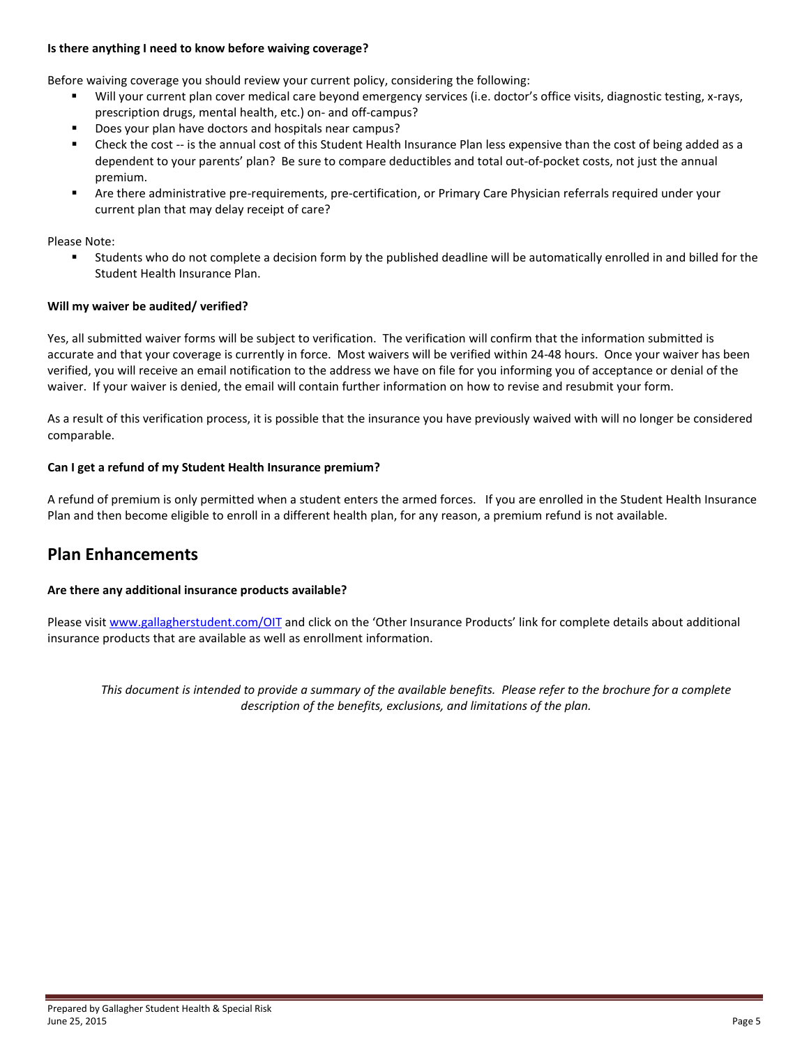#### <span id="page-4-0"></span>**Is there anything I need to know before waiving coverage?**

Before waiving coverage you should review your current policy, considering the following:

- Will your current plan cover medical care beyond emergency services (i.e. doctor's office visits, diagnostic testing, x-rays, prescription drugs, mental health, etc.) on- and off-campus?
- Does your plan have doctors and hospitals near campus?
- Check the cost -- is the annual cost of this Student Health Insurance Plan less expensive than the cost of being added as a dependent to your parents' plan? Be sure to compare deductibles and total out-of-pocket costs, not just the annual premium.
- Are there administrative pre-requirements, pre-certification, or Primary Care Physician referrals required under your current plan that may delay receipt of care?

Please Note:

 Students who do not complete a decision form by the published deadline will be automatically enrolled in and billed for the Student Health Insurance Plan.

#### <span id="page-4-1"></span>**Will my waiver be audited/ verified?**

Yes, all submitted waiver forms will be subject to verification. The verification will confirm that the information submitted is accurate and that your coverage is currently in force. Most waivers will be verified within 24-48 hours. Once your waiver has been verified, you will receive an email notification to the address we have on file for you informing you of acceptance or denial of the waiver. If your waiver is denied, the email will contain further information on how to revise and resubmit your form.

As a result of this verification process, it is possible that the insurance you have previously waived with will no longer be considered comparable.

#### <span id="page-4-2"></span>**Can I get a refund of my Student Health Insurance premium?**

A refund of premium is only permitted when a student enters the armed forces. If you are enrolled in the Student Health Insurance Plan and then become eligible to enroll in a different health plan, for any reason, a premium refund is not available.

### <span id="page-4-3"></span>**Plan Enhancements**

#### <span id="page-4-4"></span>**Are there any additional insurance products available?**

Please visit [www.gallagherstudent.com/OIT](http://www.gallagherstudent.com/OIT) and click on the 'Other Insurance Products' link for complete details about additional insurance products that are available as well as enrollment information.

*This document is intended to provide a summary of the available benefits. Please refer to the brochure for a complete description of the benefits, exclusions, and limitations of the plan.*